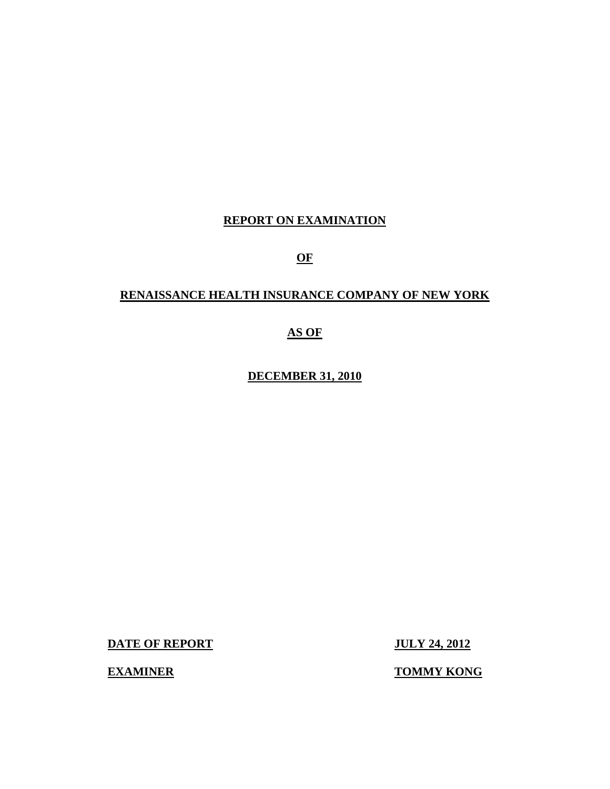# **REPORT ON EXAMINATION**

**OF** 

# **RENAISSANCE HEALTH INSURANCE COMPANY OF NEW YORK**

**AS OF** 

**DECEMBER 31, 2010** 

**DATE OF REPORT JULY 24, 2012** 

**EXAMINER TOMMY KONG**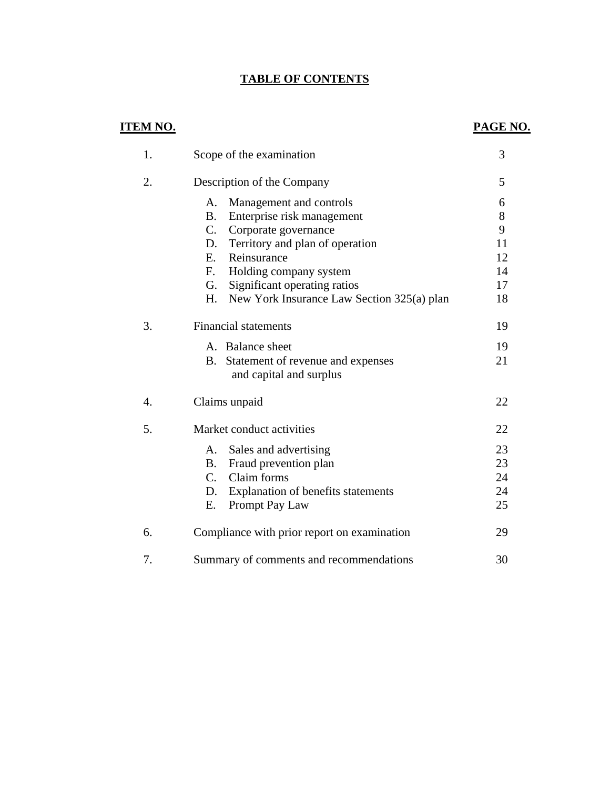# **TABLE OF CONTENTS**

# **ITEM NO.**

# **PAGE NO.**

| 1. | Scope of the examination                         | 3  |
|----|--------------------------------------------------|----|
| 2. | Description of the Company                       | 5  |
|    | Management and controls<br>A.                    | 6  |
|    | Enterprise risk management<br><b>B.</b>          | 8  |
|    | C.<br>Corporate governance                       | 9  |
|    | Territory and plan of operation<br>D.            | 11 |
|    | E.<br>Reinsurance                                | 12 |
|    | F.<br>Holding company system                     | 14 |
|    | Significant operating ratios<br>G.               | 17 |
|    | New York Insurance Law Section 325(a) plan<br>H. | 18 |
| 3. | <b>Financial statements</b>                      | 19 |
|    | A. Balance sheet                                 | 19 |
|    | Statement of revenue and expenses<br><b>B.</b>   | 21 |
|    | and capital and surplus                          |    |
| 4. | Claims unpaid                                    | 22 |
| 5. | Market conduct activities                        | 22 |
|    | Sales and advertising<br>A.                      | 23 |
|    | Fraud prevention plan<br><b>B</b> .              | 23 |
|    | Claim forms<br>$C_{\cdot}$                       | 24 |
|    | Explanation of benefits statements<br>D.         | 24 |
|    | Ε.<br>Prompt Pay Law                             | 25 |
| 6. | Compliance with prior report on examination      | 29 |
| 7. | Summary of comments and recommendations          | 30 |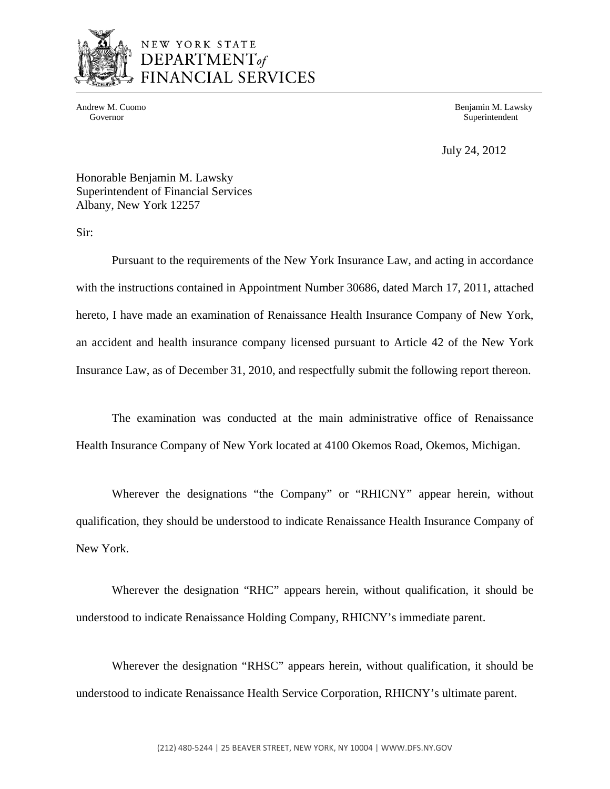

# NEW YORK STATE DEPARTMENT<sub>of</sub> FINANCIAL SERVICES

Andrew M. Cuomo **Benjamin M. Lawsky** Governor Superintendent Superintendent Superintendent Superintendent Superintendent Superintendent Superintendent

July 24, 2012

Honorable Benjamin M. Lawsky Superintendent of Financial Services Albany, New York 12257

Sir:

Pursuant to the requirements of the New York Insurance Law, and acting in accordance with the instructions contained in Appointment Number 30686, dated March 17, 2011, attached hereto, I have made an examination of Renaissance Health Insurance Company of New York, an accident and health insurance company licensed pursuant to Article 42 of the New York Insurance Law, as of December 31, 2010, and respectfully submit the following report thereon.

The examination was conducted at the main administrative office of Renaissance Health Insurance Company of New York located at 4100 Okemos Road, Okemos, Michigan.

Wherever the designations "the Company" or "RHICNY" appear herein, without qualification, they should be understood to indicate Renaissance Health Insurance Company of New York.

Wherever the designation "RHC" appears herein, without qualification, it should be understood to indicate Renaissance Holding Company, RHICNY's immediate parent.

Wherever the designation "RHSC" appears herein, without qualification, it should be understood to indicate Renaissance Health Service Corporation, RHICNY's ultimate parent.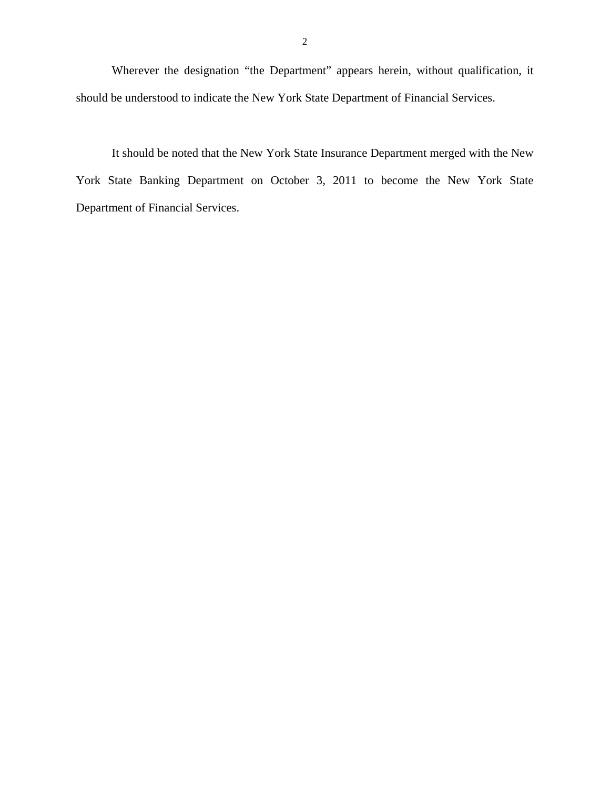Wherever the designation "the Department" appears herein, without qualification, it should be understood to indicate the New York State Department of Financial Services.

It should be noted that the New York State Insurance Department merged with the New York State Banking Department on October 3, 2011 to become the New York State Department of Financial Services.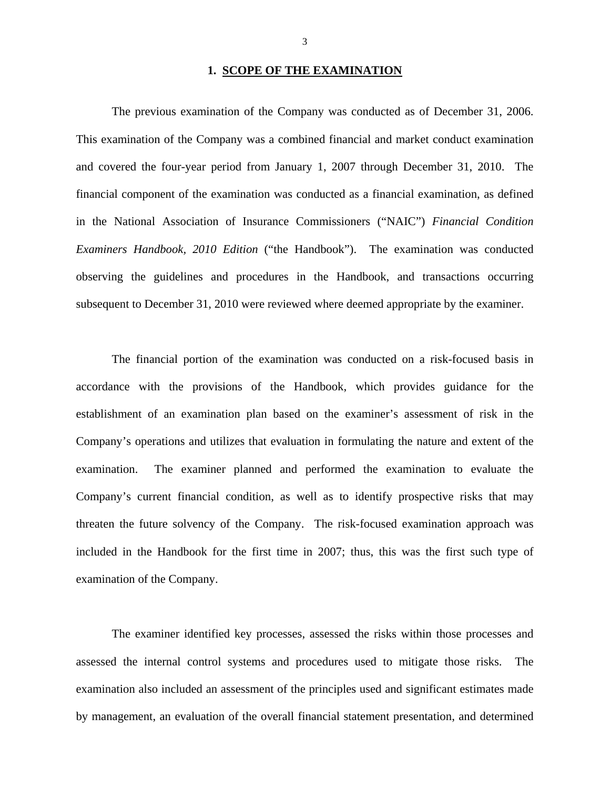# **1. SCOPE OF THE EXAMINATION**

The previous examination of the Company was conducted as of December 31, 2006. This examination of the Company was a combined financial and market conduct examination and covered the four-year period from January 1, 2007 through December 31, 2010. The financial component of the examination was conducted as a financial examination, as defined in the National Association of Insurance Commissioners ("NAIC") *Financial Condition Examiners Handbook, 2010 Edition* ("the Handbook"). The examination was conducted observing the guidelines and procedures in the Handbook, and transactions occurring subsequent to December 31, 2010 were reviewed where deemed appropriate by the examiner.

The financial portion of the examination was conducted on a risk-focused basis in accordance with the provisions of the Handbook, which provides guidance for the establishment of an examination plan based on the examiner's assessment of risk in the Company's operations and utilizes that evaluation in formulating the nature and extent of the examination. The examiner planned and performed the examination to evaluate the Company's current financial condition, as well as to identify prospective risks that may threaten the future solvency of the Company. The risk-focused examination approach was included in the Handbook for the first time in 2007; thus, this was the first such type of examination of the Company.

The examiner identified key processes, assessed the risks within those processes and assessed the internal control systems and procedures used to mitigate those risks. The examination also included an assessment of the principles used and significant estimates made by management, an evaluation of the overall financial statement presentation, and determined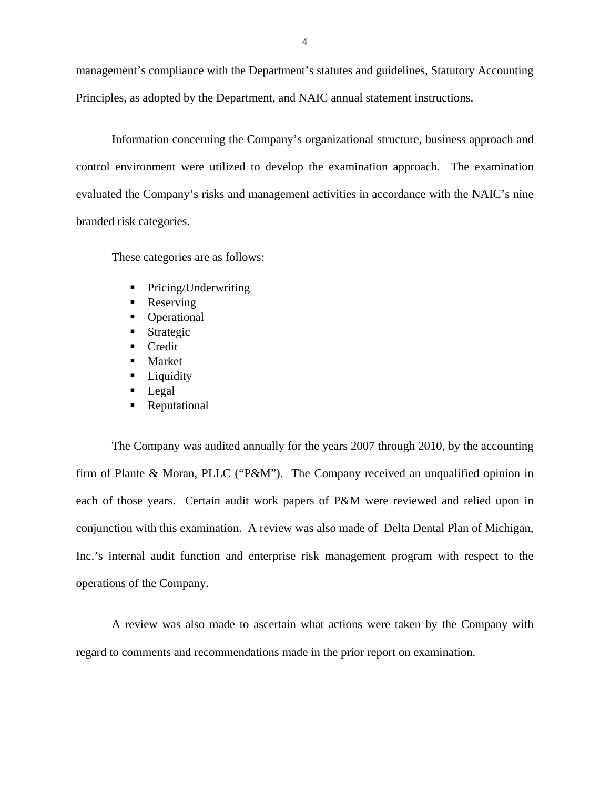management's compliance with the Department's statutes and guidelines, Statutory Accounting Principles, as adopted by the Department, and NAIC annual statement instructions.

Information concerning the Company's organizational structure, business approach and control environment were utilized to develop the examination approach. The examination evaluated the Company's risks and management activities in accordance with the NAIC's nine branded risk categories.

These categories are as follows:

- Pricing/Underwriting
- Reserving
- Operational
- **Strategic**
- Credit
- Market
- **Liquidity**
- **Legal**
- Reputational

The Company was audited annually for the years 2007 through 2010, by the accounting firm of Plante & Moran, PLLC ("P&M"). The Company received an unqualified opinion in each of those years. Certain audit work papers of P&M were reviewed and relied upon in conjunction with this examination. A review was also made of Delta Dental Plan of Michigan, Inc.'s internal audit function and enterprise risk management program with respect to the operations of the Company.

A review was also made to ascertain what actions were taken by the Company with regard to comments and recommendations made in the prior report on examination.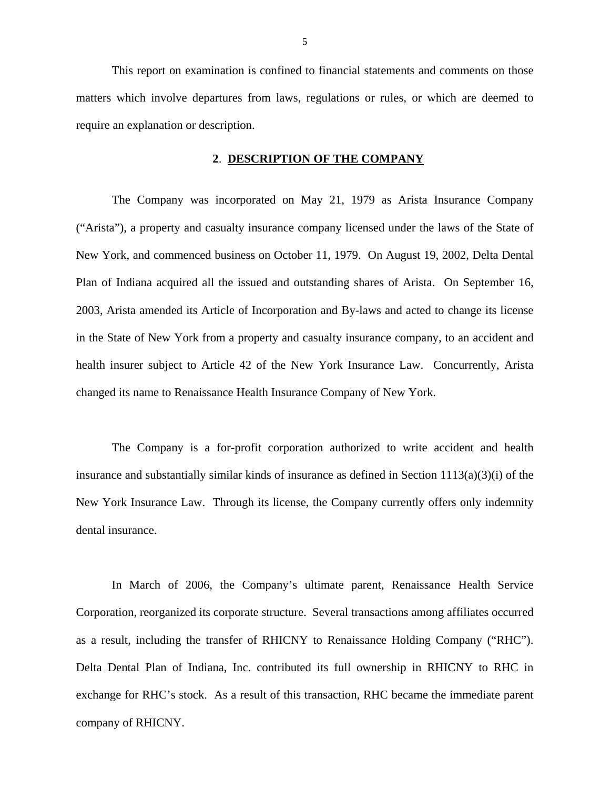This report on examination is confined to financial statements and comments on those matters which involve departures from laws, regulations or rules, or which are deemed to require an explanation or description.

#### **2**. **DESCRIPTION OF THE COMPANY**

The Company was incorporated on May 21, 1979 as Arista Insurance Company ("Arista"), a property and casualty insurance company licensed under the laws of the State of New York, and commenced business on October 11, 1979. On August 19, 2002, Delta Dental Plan of Indiana acquired all the issued and outstanding shares of Arista. On September 16, 2003, Arista amended its Article of Incorporation and By-laws and acted to change its license in the State of New York from a property and casualty insurance company, to an accident and health insurer subject to Article 42 of the New York Insurance Law. Concurrently, Arista changed its name to Renaissance Health Insurance Company of New York.

The Company is a for-profit corporation authorized to write accident and health insurance and substantially similar kinds of insurance as defined in Section  $1113(a)(3)(i)$  of the New York Insurance Law. Through its license, the Company currently offers only indemnity dental insurance.

 as a result, including the transfer of RHICNY to Renaissance Holding Company ("RHC"). Delta Dental Plan of Indiana, Inc. contributed its full ownership in RHICNY to RHC in In March of 2006, the Company's ultimate parent, Renaissance Health Service Corporation, reorganized its corporate structure. Several transactions among affiliates occurred exchange for RHC's stock. As a result of this transaction, RHC became the immediate parent company of RHICNY.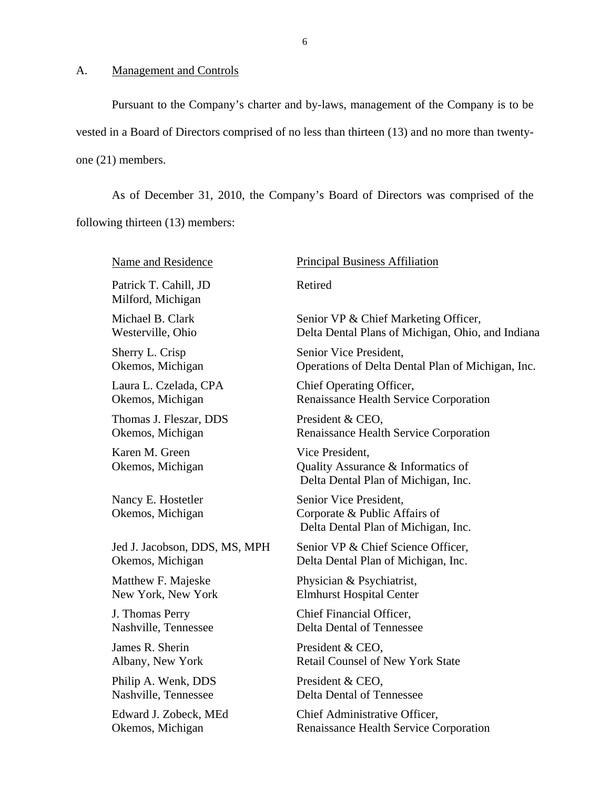## A. Management and Controls

Pursuant to the Company's charter and by-laws, management of the Company is to be vested in a Board of Directors comprised of no less than thirteen (13) and no more than twentyone (21) members.

As of December 31, 2010, the Company's Board of Directors was comprised of the following thirteen (13) members:

Name and Residence Patrick T. Cahill, JD Milford, Michigan Michael B. Clark Westerville, Ohio Sherry L. Crisp Okemos, Michigan Laura L. Czelada, CPA Okemos, Michigan Thomas J. Fleszar, DDS Okemos, Michigan Karen M. Green Okemos, Michigan Nancy E. Hostetler Okemos, Michigan Jed J. Jacobson, DDS, MS, MPH Okemos, Michigan Matthew F. Majeske New York, New York J. Thomas Perry Nashville, Tennessee James R. Sherin Albany, New York Philip A. Wenk, DDS Nashville, Tennessee Edward J. Zobeck, MEd Okemos, Michigan Principal Business Affiliation Retired Senior VP & Chief Marketing Officer, Delta Dental Plans of Michigan, Ohio, and Indiana Senior Vice President, Operations of Delta Dental Plan of Michigan, Inc. Chief Operating Officer, Renaissance Health Service Corporation President & CEO, Renaissance Health Service Corporation Vice President, Quality Assurance & Informatics of Delta Dental Plan of Michigan, Inc. Senior Vice President, Corporate & Public Affairs of Delta Dental Plan of Michigan, Inc. Senior VP & Chief Science Officer, Delta Dental Plan of Michigan, Inc. Physician & Psychiatrist, Elmhurst Hospital Center Chief Financial Officer, Delta Dental of Tennessee President & CEO, Retail Counsel of New York State President & CEO, Delta Dental of Tennessee Chief Administrative Officer, Renaissance Health Service Corporation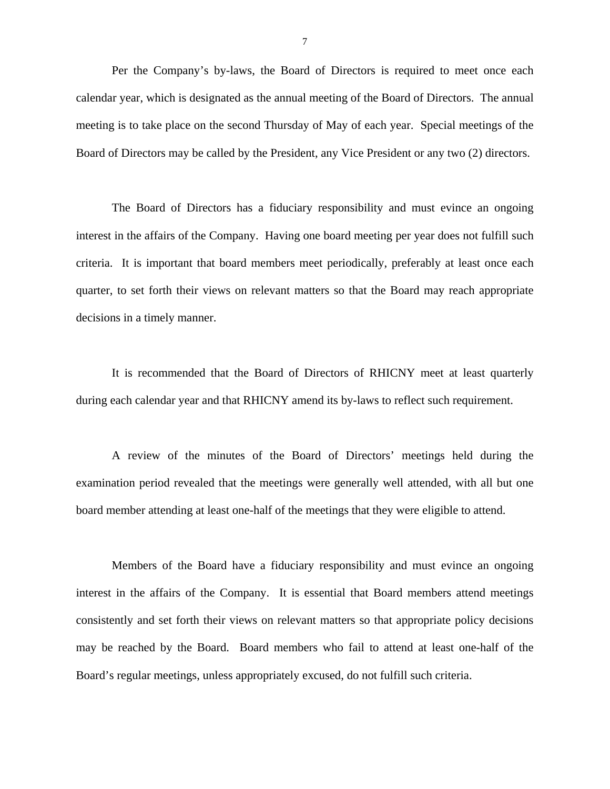Per the Company's by-laws, the Board of Directors is required to meet once each calendar year, which is designated as the annual meeting of the Board of Directors. The annual meeting is to take place on the second Thursday of May of each year. Special meetings of the Board of Directors may be called by the President, any Vice President or any two (2) directors.

The Board of Directors has a fiduciary responsibility and must evince an ongoing interest in the affairs of the Company. Having one board meeting per year does not fulfill such criteria. It is important that board members meet periodically, preferably at least once each quarter, to set forth their views on relevant matters so that the Board may reach appropriate decisions in a timely manner.

It is recommended that the Board of Directors of RHICNY meet at least quarterly during each calendar year and that RHICNY amend its by-laws to reflect such requirement.

A review of the minutes of the Board of Directors' meetings held during the examination period revealed that the meetings were generally well attended, with all but one board member attending at least one-half of the meetings that they were eligible to attend.

Members of the Board have a fiduciary responsibility and must evince an ongoing interest in the affairs of the Company. It is essential that Board members attend meetings consistently and set forth their views on relevant matters so that appropriate policy decisions may be reached by the Board. Board members who fail to attend at least one-half of the Board's regular meetings, unless appropriately excused, do not fulfill such criteria.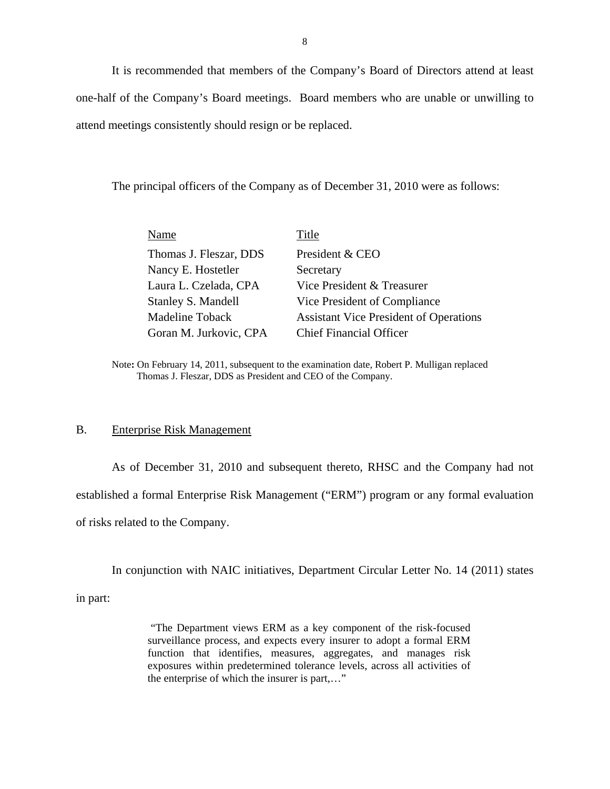It is recommended that members of the Company's Board of Directors attend at least one-half of the Company's Board meetings. Board members who are unable or unwilling to attend meetings consistently should resign or be replaced.

The principal officers of the Company as of December 31, 2010 were as follows:

| Name                   | Title                                         |
|------------------------|-----------------------------------------------|
| Thomas J. Fleszar, DDS | President & CEO                               |
| Nancy E. Hostetler     | Secretary                                     |
| Laura L. Czelada, CPA  | Vice President & Treasurer                    |
| Stanley S. Mandell     | Vice President of Compliance                  |
| <b>Madeline Toback</b> | <b>Assistant Vice President of Operations</b> |
| Goran M. Jurkovic, CPA | <b>Chief Financial Officer</b>                |
|                        |                                               |

Note**:** On February 14, 2011, subsequent to the examination date, Robert P. Mulligan replaced Thomas J. Fleszar, DDS as President and CEO of the Company.

# B. Enterprise Risk Management

As of December 31, 2010 and subsequent thereto, RHSC and the Company had not established a formal Enterprise Risk Management ("ERM") program or any formal evaluation of risks related to the Company.

In conjunction with NAIC initiatives, Department Circular Letter No. 14 (2011) states

in part:

"The Department views ERM as a key component of the risk-focused surveillance process, and expects every insurer to adopt a formal ERM function that identifies, measures, aggregates, and manages risk exposures within predetermined tolerance levels, across all activities of the enterprise of which the insurer is part,…"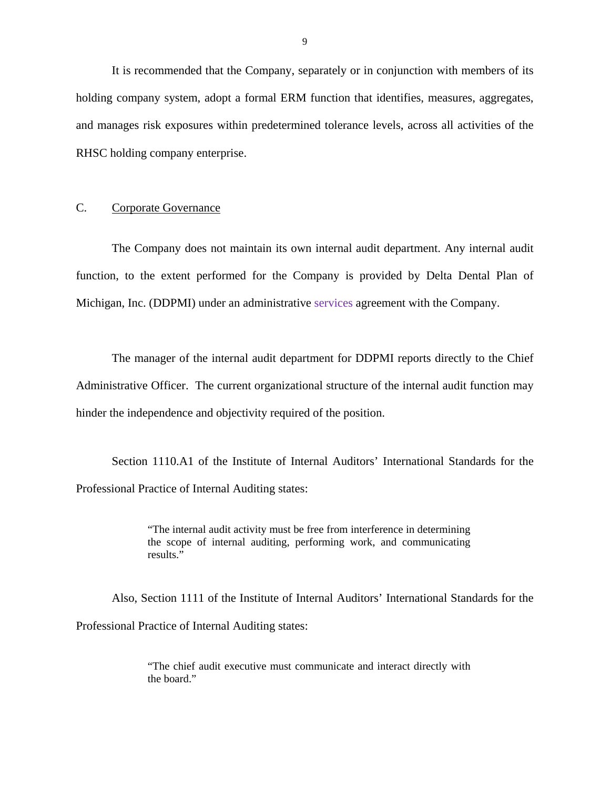It is recommended that the Company, separately or in conjunction with members of its holding company system, adopt a formal ERM function that identifies, measures, aggregates, and manages risk exposures within predetermined tolerance levels, across all activities of the RHSC holding company enterprise.

# C. Corporate Governance

The Company does not maintain its own internal audit department. Any internal audit function, to the extent performed for the Company is provided by Delta Dental Plan of Michigan, Inc. (DDPMI) under an administrative services agreement with the Company.

The manager of the internal audit department for DDPMI reports directly to the Chief Administrative Officer. The current organizational structure of the internal audit function may hinder the independence and objectivity required of the position.

Section 1110.A1 of the Institute of Internal Auditors' International Standards for the Professional Practice of Internal Auditing states:

> "The internal audit activity must be free from interference in determining the scope of internal auditing, performing work, and communicating results."

Also, Section 1111 of the Institute of Internal Auditors' International Standards for the Professional Practice of Internal Auditing states:

> "The chief audit executive must communicate and interact directly with the board."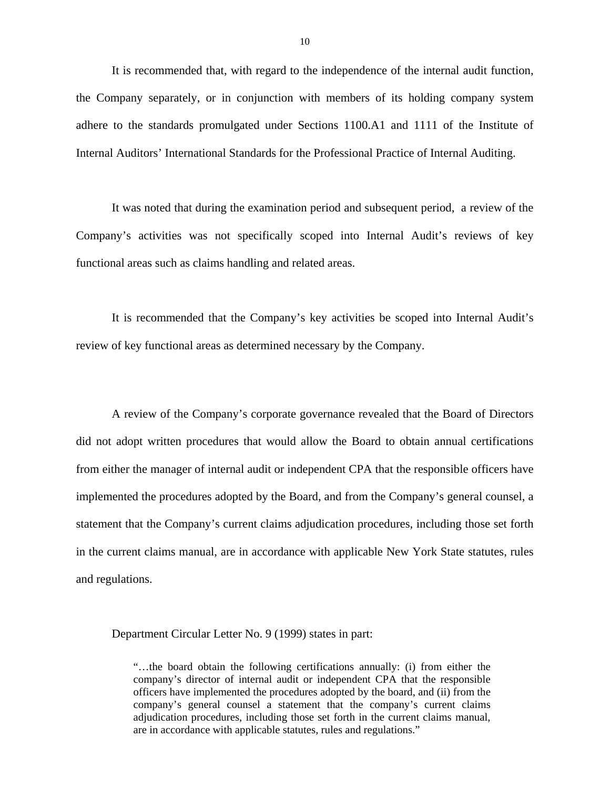It is recommended that, with regard to the independence of the internal audit function, the Company separately, or in conjunction with members of its holding company system adhere to the standards promulgated under Sections 1100.A1 and 1111 of the Institute of Internal Auditors' International Standards for the Professional Practice of Internal Auditing.

It was noted that during the examination period and subsequent period, a review of the Company's activities was not specifically scoped into Internal Audit's reviews of key functional areas such as claims handling and related areas.

It is recommended that the Company's key activities be scoped into Internal Audit's review of key functional areas as determined necessary by the Company.

A review of the Company's corporate governance revealed that the Board of Directors did not adopt written procedures that would allow the Board to obtain annual certifications from either the manager of internal audit or independent CPA that the responsible officers have implemented the procedures adopted by the Board, and from the Company's general counsel, a statement that the Company's current claims adjudication procedures, including those set forth in the current claims manual, are in accordance with applicable New York State statutes, rules and regulations.

Department Circular Letter No. 9 (1999) states in part:

 adjudication procedures, including those set forth in the current claims manual, "…the board obtain the following certifications annually: (i) from either the company's director of internal audit or independent CPA that the responsible officers have implemented the procedures adopted by the board, and (ii) from the company's general counsel a statement that the company's current claims are in accordance with applicable statutes, rules and regulations."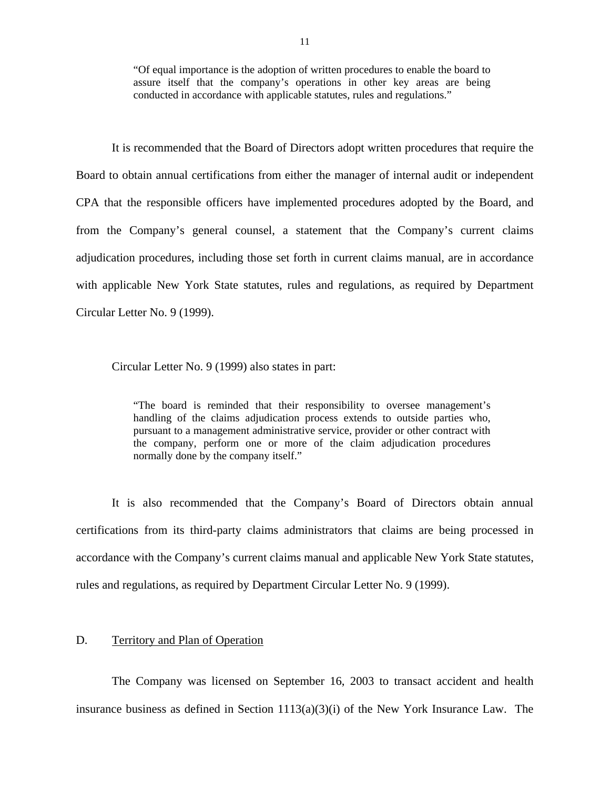"Of equal importance is the adoption of written procedures to enable the board to assure itself that the company's operations in other key areas are being conducted in accordance with applicable statutes, rules and regulations."

It is recommended that the Board of Directors adopt written procedures that require the Board to obtain annual certifications from either the manager of internal audit or independent CPA that the responsible officers have implemented procedures adopted by the Board, and from the Company's general counsel, a statement that the Company's current claims adjudication procedures, including those set forth in current claims manual, are in accordance with applicable New York State statutes, rules and regulations, as required by Department Circular Letter No. 9 (1999).

Circular Letter No. 9 (1999) also states in part:

"The board is reminded that their responsibility to oversee management's handling of the claims adjudication process extends to outside parties who, pursuant to a management administrative service, provider or other contract with the company, perform one or more of the claim adjudication procedures normally done by the company itself."

It is also recommended that the Company's Board of Directors obtain annual certifications from its third-party claims administrators that claims are being processed in accordance with the Company's current claims manual and applicable New York State statutes, rules and regulations, as required by Department Circular Letter No. 9 (1999).

### D. Territory and Plan of Operation

The Company was licensed on September 16, 2003 to transact accident and health insurance business as defined in Section  $1113(a)(3)(i)$  of the New York Insurance Law. The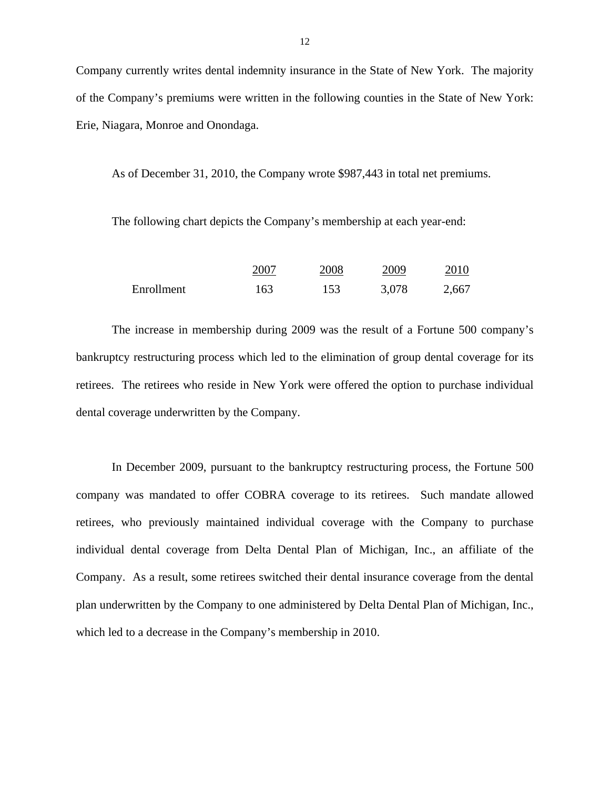Company currently writes dental indemnity insurance in the State of New York. The majority of the Company's premiums were written in the following counties in the State of New York: Erie, Niagara, Monroe and Onondaga.

As of December 31, 2010, the Company wrote \$987,443 in total net premiums.

The following chart depicts the Company's membership at each year-end:

|            | 2007 | 2008 | 2009  | 2010  |
|------------|------|------|-------|-------|
| Enrollment | 163  | 153  | 3,078 | 2,667 |

The increase in membership during 2009 was the result of a Fortune 500 company's bankruptcy restructuring process which led to the elimination of group dental coverage for its retirees. The retirees who reside in New York were offered the option to purchase individual dental coverage underwritten by the Company.

In December 2009, pursuant to the bankruptcy restructuring process, the Fortune 500 company was mandated to offer COBRA coverage to its retirees. Such mandate allowed retirees, who previously maintained individual coverage with the Company to purchase individual dental coverage from Delta Dental Plan of Michigan, Inc., an affiliate of the Company. As a result, some retirees switched their dental insurance coverage from the dental plan underwritten by the Company to one administered by Delta Dental Plan of Michigan, Inc., which led to a decrease in the Company's membership in 2010.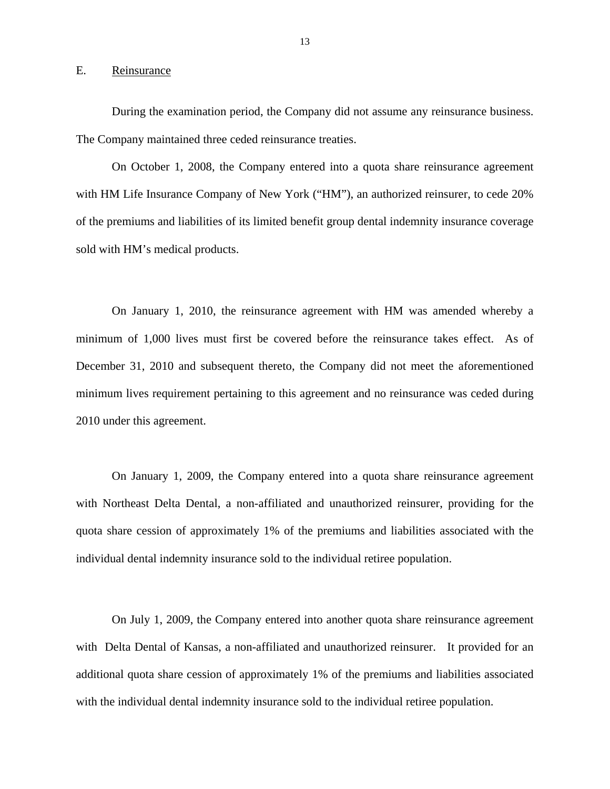#### E. Reinsurance

During the examination period, the Company did not assume any reinsurance business. The Company maintained three ceded reinsurance treaties.

On October 1, 2008, the Company entered into a quota share reinsurance agreement with HM Life Insurance Company of New York ("HM"), an authorized reinsurer, to cede 20% of the premiums and liabilities of its limited benefit group dental indemnity insurance coverage sold with HM's medical products.

On January 1, 2010, the reinsurance agreement with HM was amended whereby a minimum of 1,000 lives must first be covered before the reinsurance takes effect. As of December 31, 2010 and subsequent thereto, the Company did not meet the aforementioned minimum lives requirement pertaining to this agreement and no reinsurance was ceded during 2010 under this agreement.

On January 1, 2009, the Company entered into a quota share reinsurance agreement with Northeast Delta Dental, a non-affiliated and unauthorized reinsurer, providing for the quota share cession of approximately 1% of the premiums and liabilities associated with the individual dental indemnity insurance sold to the individual retiree population.

On July 1, 2009, the Company entered into another quota share reinsurance agreement with Delta Dental of Kansas, a non-affiliated and unauthorized reinsurer. It provided for an additional quota share cession of approximately 1% of the premiums and liabilities associated with the individual dental indemnity insurance sold to the individual retiree population.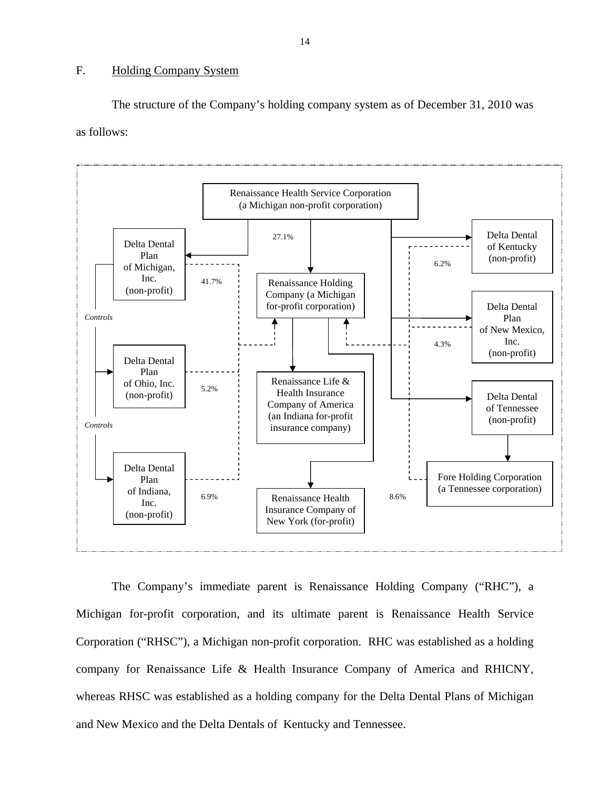# F. Holding Company System

The structure of the Company's holding company system as of December 31, 2010 was as follows:



The Company's immediate parent is Renaissance Holding Company ("RHC"), a Michigan for-profit corporation, and its ultimate parent is Renaissance Health Service Corporation ("RHSC"), a Michigan non-profit corporation. RHC was established as a holding company for Renaissance Life & Health Insurance Company of America and RHICNY, whereas RHSC was established as a holding company for the Delta Dental Plans of Michigan and New Mexico and the Delta Dentals of Kentucky and Tennessee.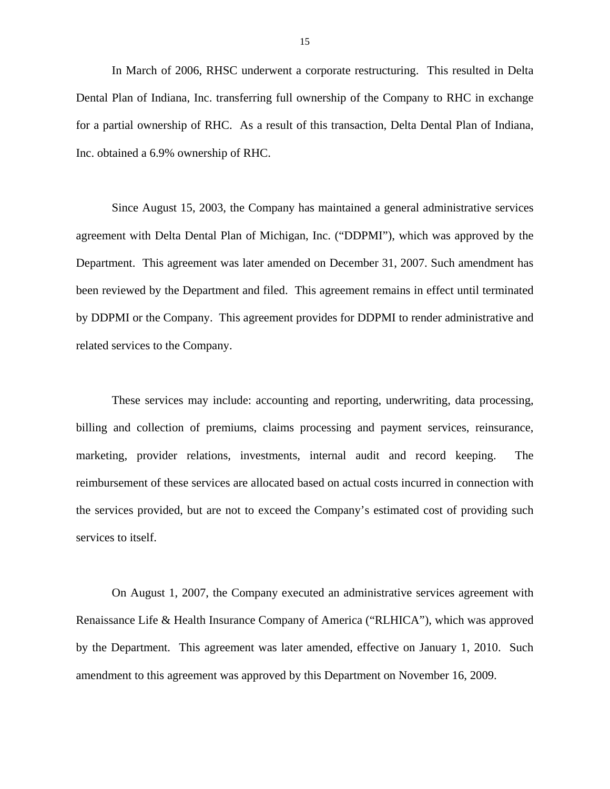In March of 2006, RHSC underwent a corporate restructuring. This resulted in Delta Dental Plan of Indiana, Inc. transferring full ownership of the Company to RHC in exchange for a partial ownership of RHC. As a result of this transaction, Delta Dental Plan of Indiana, Inc. obtained a 6.9% ownership of RHC.

Since August 15, 2003, the Company has maintained a general administrative services agreement with Delta Dental Plan of Michigan, Inc. ("DDPMI"), which was approved by the Department. This agreement was later amended on December 31, 2007. Such amendment has been reviewed by the Department and filed. This agreement remains in effect until terminated by DDPMI or the Company. This agreement provides for DDPMI to render administrative and related services to the Company.

These services may include: accounting and reporting, underwriting, data processing, billing and collection of premiums, claims processing and payment services, reinsurance, marketing, provider relations, investments, internal audit and record keeping. The reimbursement of these services are allocated based on actual costs incurred in connection with the services provided, but are not to exceed the Company's estimated cost of providing such services to itself.

On August 1, 2007, the Company executed an administrative services agreement with Renaissance Life & Health Insurance Company of America ("RLHICA"), which was approved by the Department. This agreement was later amended, effective on January 1, 2010. Such amendment to this agreement was approved by this Department on November 16, 2009.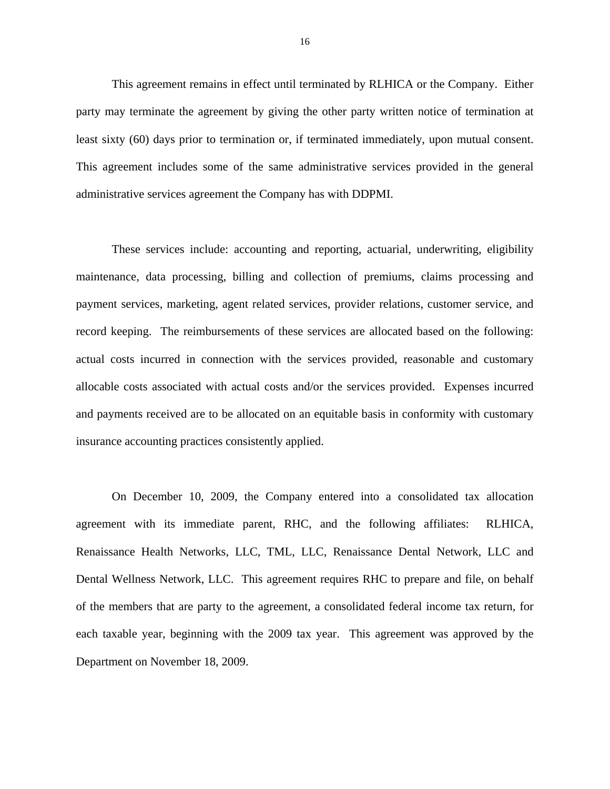This agreement remains in effect until terminated by RLHICA or the Company. Either party may terminate the agreement by giving the other party written notice of termination at least sixty (60) days prior to termination or, if terminated immediately, upon mutual consent. This agreement includes some of the same administrative services provided in the general administrative services agreement the Company has with DDPMI.

These services include: accounting and reporting, actuarial, underwriting, eligibility maintenance, data processing, billing and collection of premiums, claims processing and payment services, marketing, agent related services, provider relations, customer service, and record keeping. The reimbursements of these services are allocated based on the following: actual costs incurred in connection with the services provided, reasonable and customary allocable costs associated with actual costs and/or the services provided. Expenses incurred and payments received are to be allocated on an equitable basis in conformity with customary insurance accounting practices consistently applied.

On December 10, 2009, the Company entered into a consolidated tax allocation agreement with its immediate parent, RHC, and the following affiliates: RLHICA, Renaissance Health Networks, LLC, TML, LLC, Renaissance Dental Network, LLC and Dental Wellness Network, LLC. This agreement requires RHC to prepare and file, on behalf of the members that are party to the agreement, a consolidated federal income tax return, for each taxable year, beginning with the 2009 tax year. This agreement was approved by the Department on November 18, 2009.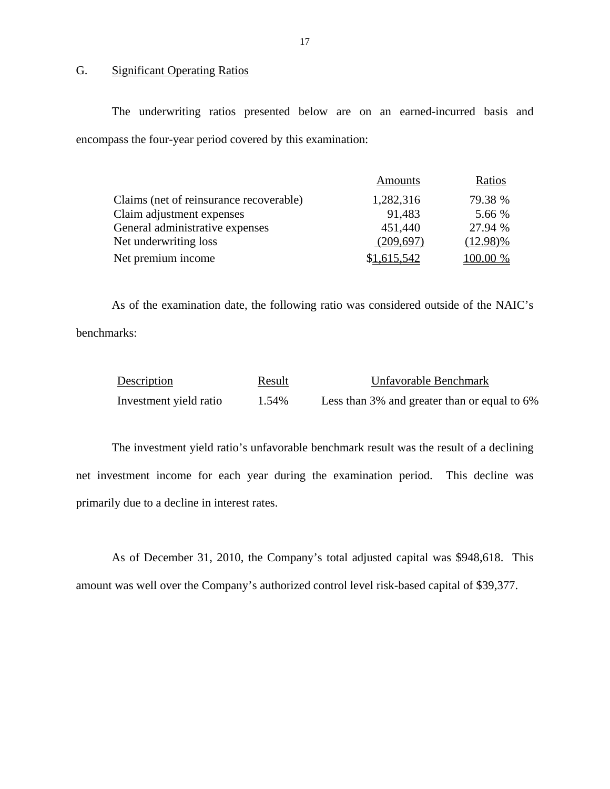# G. Significant Operating Ratios

The underwriting ratios presented below are on an earned-incurred basis and encompass the four-year period covered by this examination:

|                                         | <b>Amounts</b> | Ratios          |
|-----------------------------------------|----------------|-----------------|
| Claims (net of reinsurance recoverable) | 1,282,316      | 79.38 %         |
| Claim adjustment expenses               | 91,483         | 5.66 %          |
| General administrative expenses         | 451,440        | 27.94 %         |
| Net underwriting loss                   | (209, 697)     | $(12.98)\%$     |
| Net premium income                      | \$1,615,542    | <u>100.00 %</u> |

As of the examination date, the following ratio was considered outside of the NAIC's benchmarks:

| Description            | Result | Unfavorable Benchmark                        |
|------------------------|--------|----------------------------------------------|
| Investment yield ratio | 1.54%  | Less than 3% and greater than or equal to 6% |

The investment yield ratio's unfavorable benchmark result was the result of a declining net investment income for each year during the examination period. This decline was primarily due to a decline in interest rates.

As of December 31, 2010, the Company's total adjusted capital was \$948,618. This amount was well over the Company's authorized control level risk-based capital of \$39,377.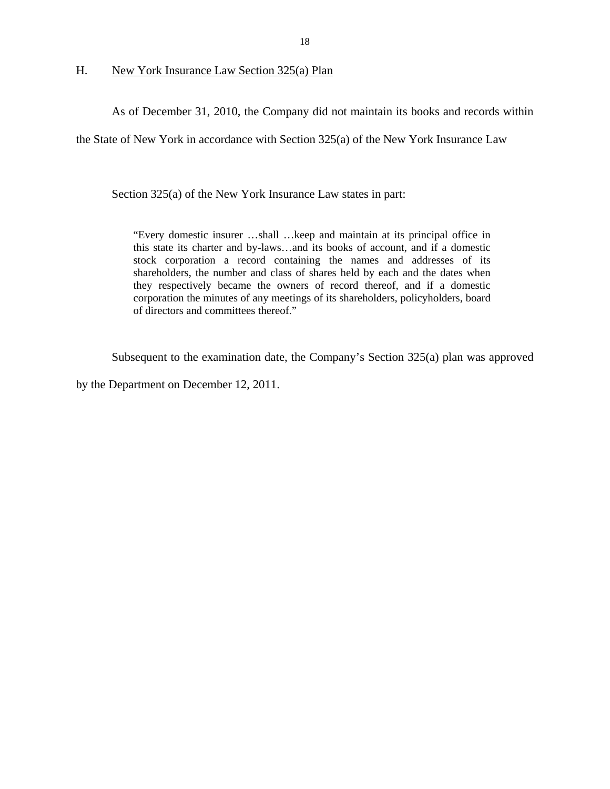H. New York Insurance Law Section 325(a) Plan

As of December 31, 2010, the Company did not maintain its books and records within

the State of New York in accordance with Section 325(a) of the New York Insurance Law

Section 325(a) of the New York Insurance Law states in part:

"Every domestic insurer …shall …keep and maintain at its principal office in this state its charter and by-laws…and its books of account, and if a domestic stock corporation a record containing the names and addresses of its shareholders, the number and class of shares held by each and the dates when they respectively became the owners of record thereof, and if a domestic corporation the minutes of any meetings of its shareholders, policyholders, board of directors and committees thereof."

Subsequent to the examination date, the Company's Section 325(a) plan was approved

by the Department on December 12, 2011.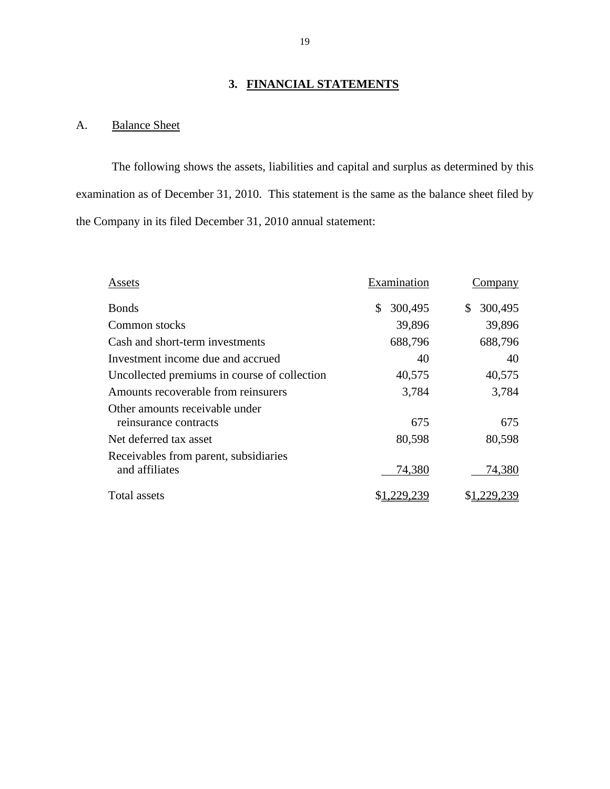# **3. FINANCIAL STATEMENTS**

# A. Balance Sheet

The following shows the assets, liabilities and capital and surplus as determined by this examination as of December 31, 2010. This statement is the same as the balance sheet filed by the Company in its filed December 31, 2010 annual statement:

| Assets                                                  | Examination   | Company       |
|---------------------------------------------------------|---------------|---------------|
| <b>Bonds</b>                                            | 300,495<br>\$ | 300,495<br>\$ |
| Common stocks                                           | 39,896        | 39,896        |
| Cash and short-term investments                         | 688,796       | 688,796       |
| Investment income due and accrued                       | 40            | 40            |
| Uncollected premiums in course of collection            | 40,575        | 40,575        |
| Amounts recoverable from reinsurers                     | 3,784         | 3,784         |
| Other amounts receivable under<br>reinsurance contracts | 675           | 675           |
| Net deferred tax asset                                  | 80,598        | 80,598        |
| Receivables from parent, subsidiaries<br>and affiliates | 74,380        | 74,380        |
| Total assets                                            |               |               |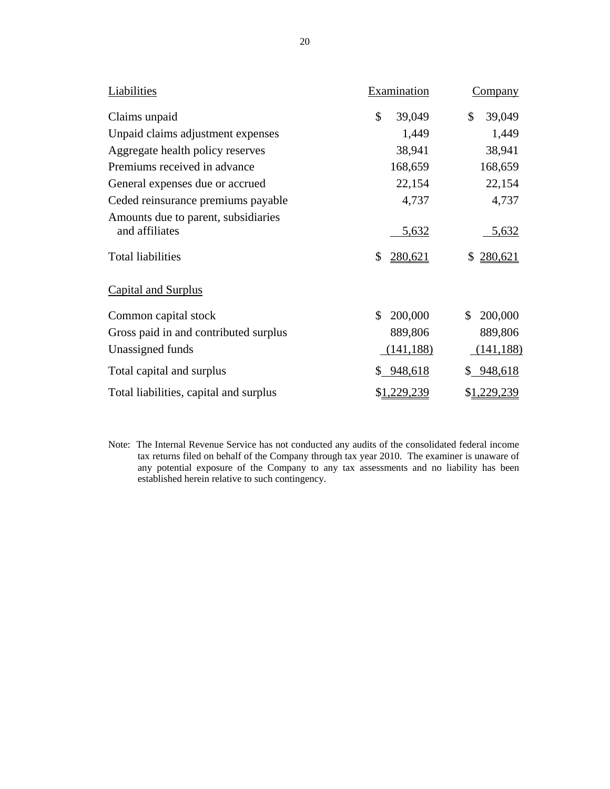| Liabilities                                                                       | Examination            | Company                |
|-----------------------------------------------------------------------------------|------------------------|------------------------|
| Claims unpaid                                                                     | \$<br>39,049           | \$<br>39,049           |
| Unpaid claims adjustment expenses                                                 | 1,449                  | 1,449                  |
| Aggregate health policy reserves                                                  | 38,941                 | 38,941                 |
| Premiums received in advance                                                      | 168,659                | 168,659                |
| General expenses due or accrued                                                   | 22,154                 | 22,154                 |
| Ceded reinsurance premiums payable                                                | 4,737                  | 4,737                  |
| Amounts due to parent, subsidiaries<br>and affiliates<br><b>Total liabilities</b> | 5,632<br>\$<br>280,621 | 5,632<br>280,621<br>\$ |
| <b>Capital and Surplus</b>                                                        |                        |                        |
| Common capital stock                                                              | 200,000<br>\$          | 200,000<br>\$          |
| Gross paid in and contributed surplus                                             | 889,806                | 889,806                |
| Unassigned funds                                                                  | (141, 188)             | (141, 188)             |
| Total capital and surplus                                                         | \$948,618              | \$ 948,618             |
| Total liabilities, capital and surplus                                            | \$1,229,239            | \$1,229,239            |

Note: The Internal Revenue Service has not conducted any audits of the consolidated federal income tax returns filed on behalf of the Company through tax year 2010. The examiner is unaware of any potential exposure of the Company to any tax assessments and no liability has been established herein relative to such contingency.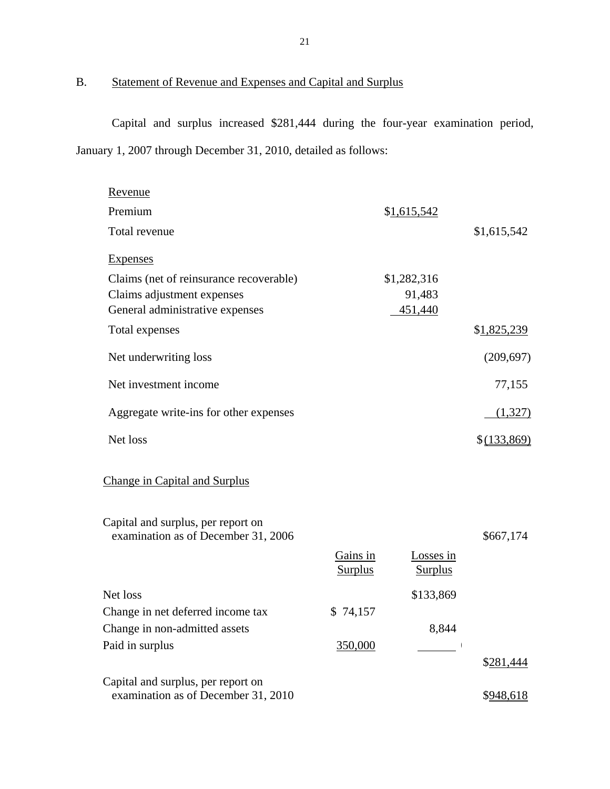# B. Statement of Revenue and Expenses and Capital and Surplus

Capital and surplus increased \$281,444 during the four-year examination period, January 1, 2007 through December 31, 2010, detailed as follows:

| Revenue                                                                   |                            |                             |              |
|---------------------------------------------------------------------------|----------------------------|-----------------------------|--------------|
| Premium                                                                   |                            | \$1,615,542                 |              |
| Total revenue                                                             |                            |                             | \$1,615,542  |
| Expenses                                                                  |                            |                             |              |
| Claims (net of reinsurance recoverable)                                   |                            | \$1,282,316                 |              |
| Claims adjustment expenses                                                |                            | 91,483                      |              |
| General administrative expenses                                           |                            | 451,440                     |              |
| Total expenses                                                            |                            |                             | \$1,825,239  |
| Net underwriting loss                                                     |                            |                             | (209, 697)   |
| Net investment income                                                     |                            |                             | 77,155       |
| Aggregate write-ins for other expenses                                    |                            |                             | (1,327)      |
| Net loss                                                                  |                            |                             | \$ (133,869) |
| <b>Change in Capital and Surplus</b>                                      |                            |                             |              |
| Capital and surplus, per report on<br>examination as of December 31, 2006 |                            |                             | \$667,174    |
|                                                                           | Gains in<br><b>Surplus</b> | Losses in<br><b>Surplus</b> |              |
| Net loss                                                                  |                            | \$133,869                   |              |
| Change in net deferred income tax                                         | \$74,157                   |                             |              |
| Change in non-admitted assets                                             |                            | 8,844                       |              |
| Paid in surplus                                                           | 350,000                    |                             |              |
|                                                                           |                            |                             | \$281,444    |
| Capital and surplus, per report on<br>examination as of December 31, 2010 |                            |                             | \$948,618    |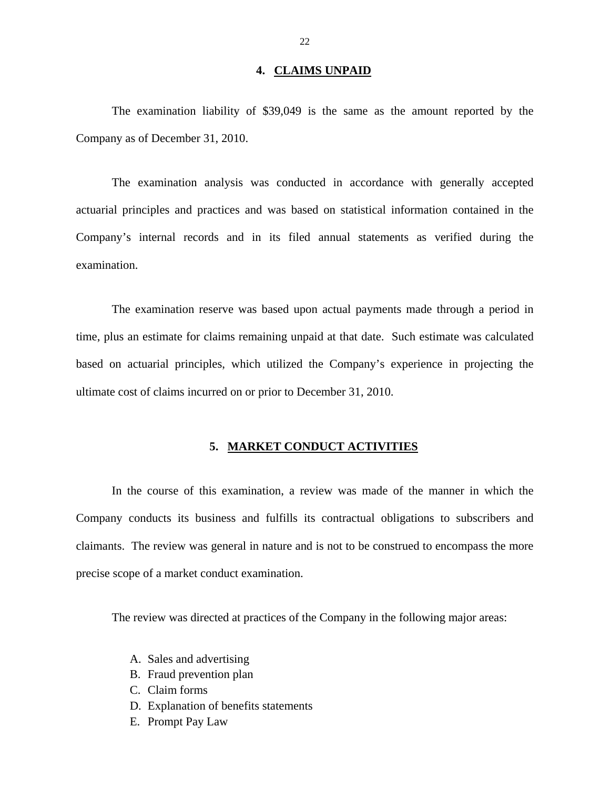#### **4. CLAIMS UNPAID**

The examination liability of \$39,049 is the same as the amount reported by the Company as of December 31, 2010.

The examination analysis was conducted in accordance with generally accepted actuarial principles and practices and was based on statistical information contained in the Company's internal records and in its filed annual statements as verified during the examination.

The examination reserve was based upon actual payments made through a period in time, plus an estimate for claims remaining unpaid at that date. Such estimate was calculated based on actuarial principles, which utilized the Company's experience in projecting the ultimate cost of claims incurred on or prior to December 31, 2010.

#### **5. MARKET CONDUCT ACTIVITIES**

In the course of this examination, a review was made of the manner in which the Company conducts its business and fulfills its contractual obligations to subscribers and claimants. The review was general in nature and is not to be construed to encompass the more precise scope of a market conduct examination.

The review was directed at practices of the Company in the following major areas:

- A. Sales and advertising
- B. Fraud prevention plan
- C. Claim forms
- D. Explanation of benefits statements
- E. Prompt Pay Law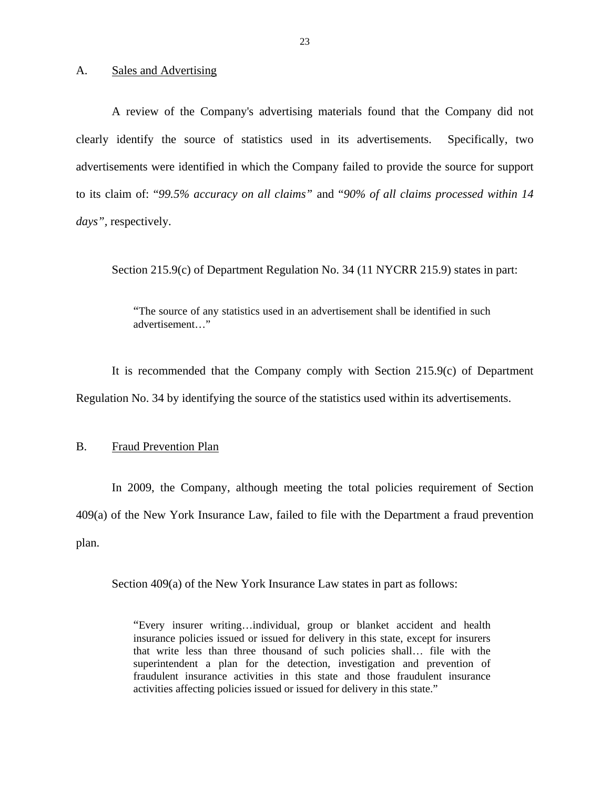#### A. Sales and Advertising

A review of the Company's advertising materials found that the Company did not clearly identify the source of statistics used in its advertisements. Specifically, two advertisements were identified in which the Company failed to provide the source for support to its claim of: "*99.5% accuracy on all claims"* and "*90% of all claims processed within 14 days",* respectively.

Section 215.9(c) of Department Regulation No. 34 (11 NYCRR 215.9) states in part:

"The source of any statistics used in an advertisement shall be identified in such advertisement…"

It is recommended that the Company comply with Section 215.9(c) of Department Regulation No. 34 by identifying the source of the statistics used within its advertisements.

#### B. Fraud Prevention Plan

In 2009, the Company, although meeting the total policies requirement of Section 409(a) of the New York Insurance Law, failed to file with the Department a fraud prevention plan.

Section 409(a) of the New York Insurance Law states in part as follows:

"Every insurer writing…individual, group or blanket accident and health insurance policies issued or issued for delivery in this state, except for insurers that write less than three thousand of such policies shall… file with the superintendent a plan for the detection, investigation and prevention of fraudulent insurance activities in this state and those fraudulent insurance activities affecting policies issued or issued for delivery in this state."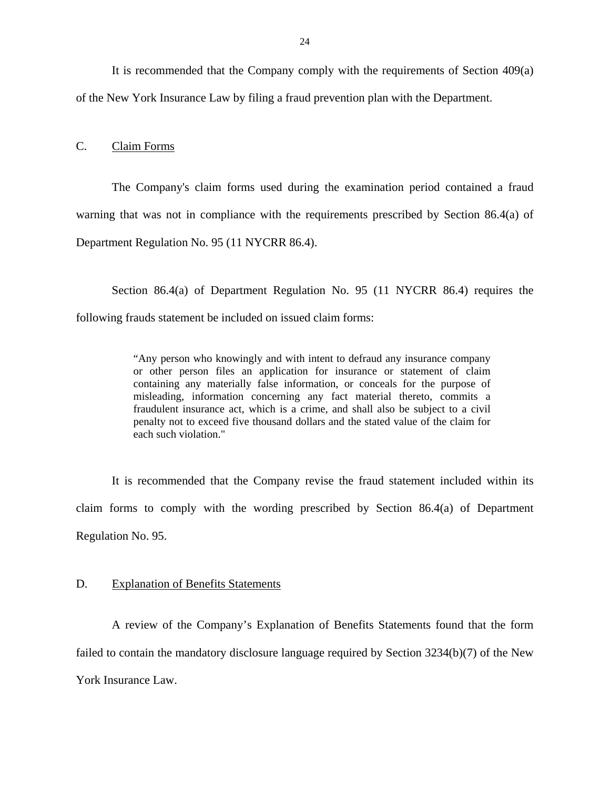It is recommended that the Company comply with the requirements of Section 409(a) of the New York Insurance Law by filing a fraud prevention plan with the Department.

C. Claim Forms

The Company's claim forms used during the examination period contained a fraud warning that was not in compliance with the requirements prescribed by Section 86.4(a) of Department Regulation No. 95 (11 NYCRR 86.4).

Section 86.4(a) of Department Regulation No. 95 (11 NYCRR 86.4) requires the following frauds statement be included on issued claim forms:

> "Any person who knowingly and with intent to defraud any insurance company or other person files an application for insurance or statement of claim containing any materially false information, or conceals for the purpose of misleading, information concerning any fact material thereto, commits a fraudulent insurance act, which is a crime, and shall also be subject to a civil penalty not to exceed five thousand dollars and the stated value of the claim for each such violation."

It is recommended that the Company revise the fraud statement included within its claim forms to comply with the wording prescribed by Section 86.4(a) of Department Regulation No. 95.

#### D. Explanation of Benefits Statements

A review of the Company's Explanation of Benefits Statements found that the form failed to contain the mandatory disclosure language required by Section 3234(b)(7) of the New York Insurance Law.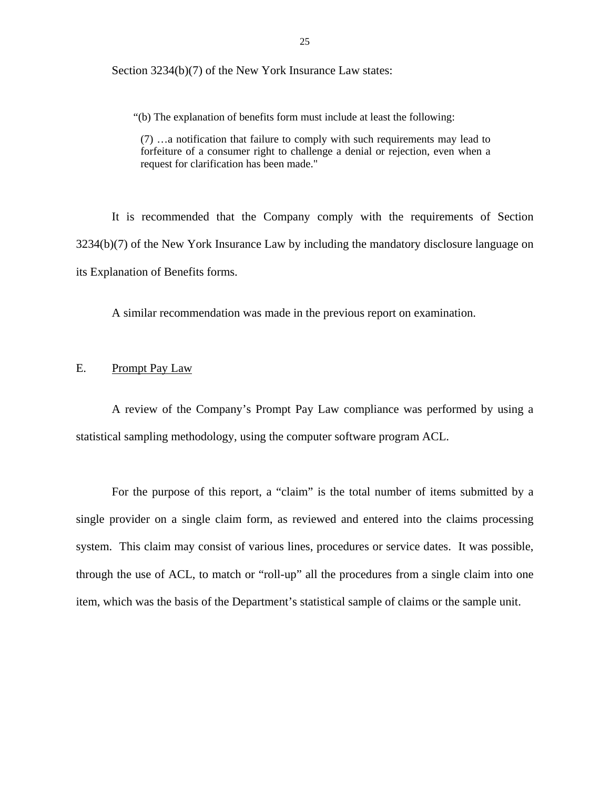Section 3234(b)(7) of the New York Insurance Law states:

"(b) The explanation of benefits form must include at least the following:

(7) …a notification that failure to comply with such requirements may lead to forfeiture of a consumer right to challenge a denial or rejection, even when a request for clarification has been made."

It is recommended that the Company comply with the requirements of Section 3234(b)(7) of the New York Insurance Law by including the mandatory disclosure language on its Explanation of Benefits forms.

A similar recommendation was made in the previous report on examination.

# E. Prompt Pay Law

A review of the Company's Prompt Pay Law compliance was performed by using a statistical sampling methodology, using the computer software program ACL.

For the purpose of this report, a "claim" is the total number of items submitted by a single provider on a single claim form, as reviewed and entered into the claims processing system. This claim may consist of various lines, procedures or service dates. It was possible, through the use of ACL, to match or "roll-up" all the procedures from a single claim into one item, which was the basis of the Department's statistical sample of claims or the sample unit.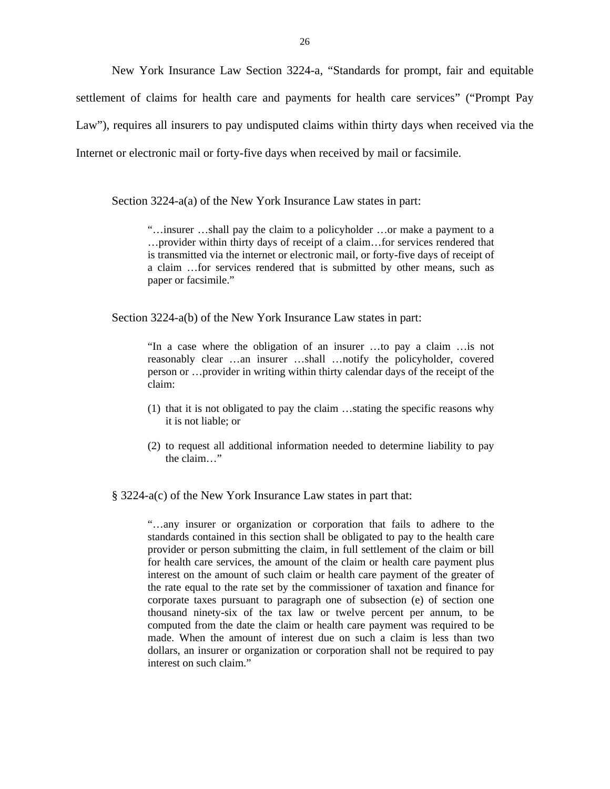New York Insurance Law Section 3224-a, "Standards for prompt, fair and equitable settlement of claims for health care and payments for health care services" ("Prompt Pay Law"), requires all insurers to pay undisputed claims within thirty days when received via the Internet or electronic mail or forty-five days when received by mail or facsimile.

Section 3224-a(a) of the New York Insurance Law states in part:

"…insurer …shall pay the claim to a policyholder …or make a payment to a …provider within thirty days of receipt of a claim…for services rendered that is transmitted via the internet or electronic mail, or forty-five days of receipt of a claim …for services rendered that is submitted by other means, such as paper or facsimile."

Section 3224-a(b) of the New York Insurance Law states in part:

"In a case where the obligation of an insurer …to pay a claim …is not reasonably clear …an insurer …shall …notify the policyholder, covered person or …provider in writing within thirty calendar days of the receipt of the claim:

- (1) that it is not obligated to pay the claim …stating the specific reasons why it is not liable; or
- (2) to request all additional information needed to determine liability to pay the claim…"

§ 3224-a(c) of the New York Insurance Law states in part that:

"…any insurer or organization or corporation that fails to adhere to the standards contained in this section shall be obligated to pay to the health care provider or person submitting the claim, in full settlement of the claim or bill for health care services, the amount of the claim or health care payment plus interest on the amount of such claim or health care payment of the greater of the rate equal to the rate set by the commissioner of taxation and finance for corporate taxes pursuant to paragraph one of subsection (e) of section one thousand ninety-six of the tax law or twelve percent per annum, to be computed from the date the claim or health care payment was required to be made. When the amount of interest due on such a claim is less than two dollars, an insurer or organization or corporation shall not be required to pay interest on such claim."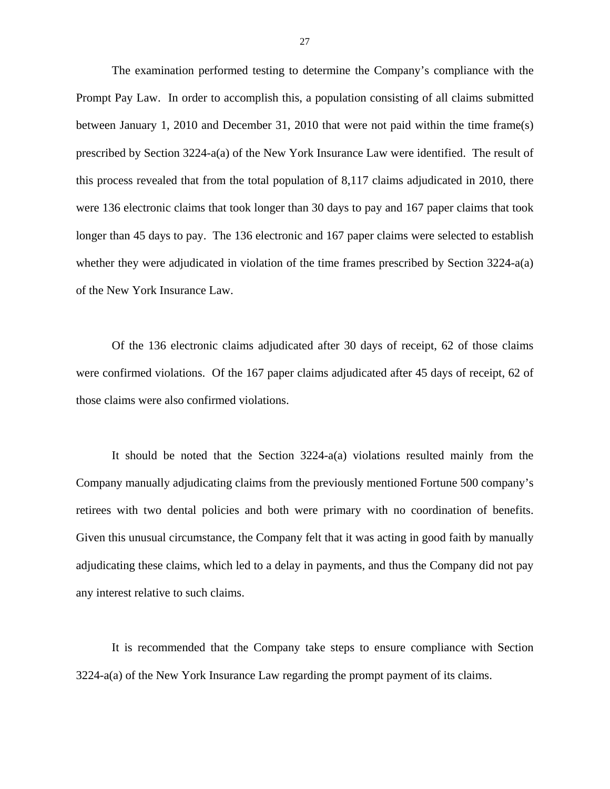The examination performed testing to determine the Company's compliance with the Prompt Pay Law. In order to accomplish this, a population consisting of all claims submitted between January 1, 2010 and December 31, 2010 that were not paid within the time frame(s) prescribed by Section 3224-a(a) of the New York Insurance Law were identified. The result of this process revealed that from the total population of 8,117 claims adjudicated in 2010, there were 136 electronic claims that took longer than 30 days to pay and 167 paper claims that took longer than 45 days to pay. The 136 electronic and 167 paper claims were selected to establish whether they were adjudicated in violation of the time frames prescribed by Section 3224-a(a) of the New York Insurance Law.

Of the 136 electronic claims adjudicated after 30 days of receipt, 62 of those claims were confirmed violations. Of the 167 paper claims adjudicated after 45 days of receipt, 62 of those claims were also confirmed violations.

It should be noted that the Section 3224-a(a) violations resulted mainly from the Company manually adjudicating claims from the previously mentioned Fortune 500 company's retirees with two dental policies and both were primary with no coordination of benefits. Given this unusual circumstance, the Company felt that it was acting in good faith by manually adjudicating these claims, which led to a delay in payments, and thus the Company did not pay any interest relative to such claims.

It is recommended that the Company take steps to ensure compliance with Section 3224-a(a) of the New York Insurance Law regarding the prompt payment of its claims.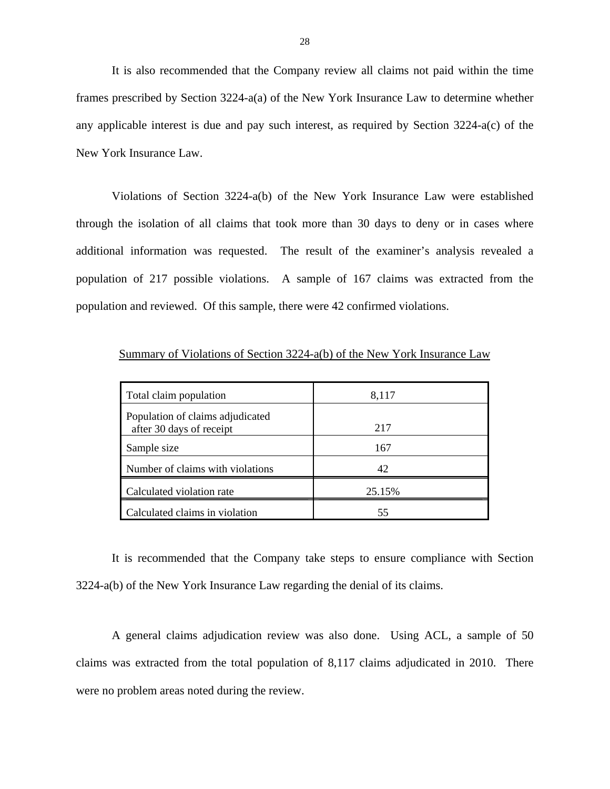It is also recommended that the Company review all claims not paid within the time frames prescribed by Section 3224-a(a) of the New York Insurance Law to determine whether any applicable interest is due and pay such interest, as required by Section 3224-a(c) of the New York Insurance Law.

Violations of Section 3224-a(b) of the New York Insurance Law were established through the isolation of all claims that took more than 30 days to deny or in cases where additional information was requested. The result of the examiner's analysis revealed a population of 217 possible violations. A sample of 167 claims was extracted from the population and reviewed. Of this sample, there were 42 confirmed violations.

| Total claim population                                       | 8,117  |
|--------------------------------------------------------------|--------|
| Population of claims adjudicated<br>after 30 days of receipt | 217    |
| Sample size                                                  | 167    |
| Number of claims with violations                             | 42     |
| Calculated violation rate                                    | 25.15% |
| Calculated claims in violation                               | 55     |

Summary of Violations of Section 3224-a(b) of the New York Insurance Law

It is recommended that the Company take steps to ensure compliance with Section 3224-a(b) of the New York Insurance Law regarding the denial of its claims.

A general claims adjudication review was also done. Using ACL, a sample of 50 claims was extracted from the total population of 8,117 claims adjudicated in 2010. There were no problem areas noted during the review.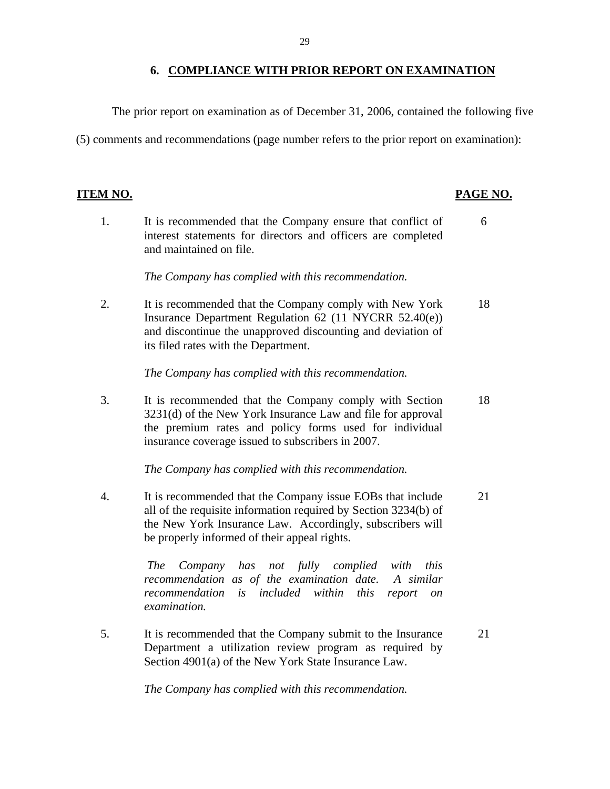# **6. COMPLIANCE WITH PRIOR REPORT ON EXAMINATION**

The prior report on examination as of December 31, 2006, contained the following five

(5) comments and recommendations (page number refers to the prior report on examination):

# **ITEM NO. PAGE NO.**

1. It is recommended that the Company ensure that conflict of 6 interest statements for directors and officers are completed and maintained on file.

*The Company has complied with this recommendation.* 

2. It is recommended that the Company comply with New York 18 Insurance Department Regulation 62 (11 NYCRR 52.40(e)) and discontinue the unapproved discounting and deviation of its filed rates with the Department.

*The Company has complied with this recommendation.* 

3. It is recommended that the Company comply with Section 18 3231(d) of the New York Insurance Law and file for approval the premium rates and policy forms used for individual insurance coverage issued to subscribers in 2007.

*The Company has complied with this recommendation.* 

4. It is recommended that the Company issue EOBs that include 21 all of the requisite information required by Section 3234(b) of the New York Insurance Law. Accordingly, subscribers will be properly informed of their appeal rights.

> *The Company has not fully complied with this recommendation as of the examination date. A similar recommendation is included within this report on examination.*

5. It is recommended that the Company submit to the Insurance 21 Department a utilization review program as required by Section 4901(a) of the New York State Insurance Law.

*The Company has complied with this recommendation.*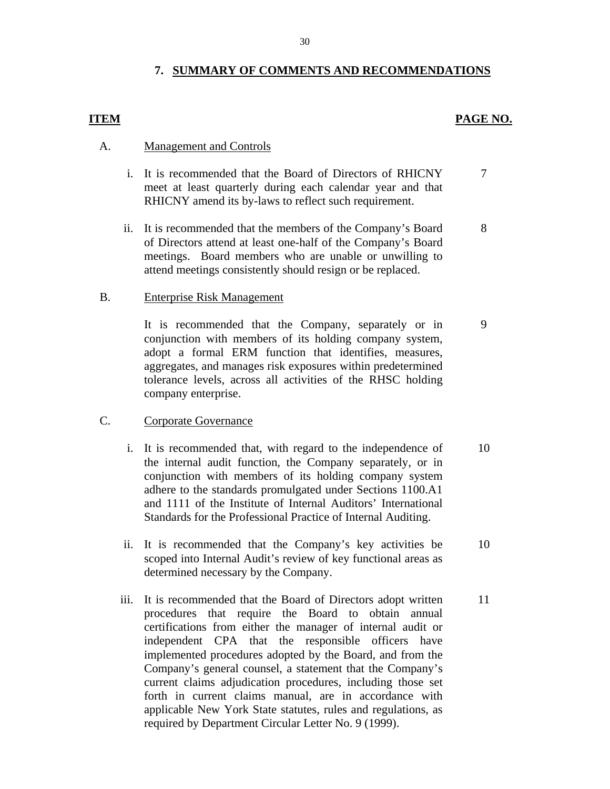# **7. SUMMARY OF COMMENTS AND RECOMMENDATIONS**

# **ITEM** PAGE NO.

# **Management and Controls**

- A. <u>Management and Controls</u><br>i. It is recommended that the Board of Directors of RHICNY 7 meet at least quarterly during each calendar year and that RHICNY amend its by-laws to reflect such requirement.
	- ii. It is recommended that the members of the Company's Board 8 of Directors attend at least one-half of the Company's Board meetings. Board members who are unable or unwilling to attend meetings consistently should resign or be replaced.

## **Enterprise Risk Management**

B. Enterprise Risk Management<br>It is recommended that the Company, separately or in 9 conjunction with members of its holding company system, adopt a formal ERM function that identifies, measures, aggregates, and manages risk exposures within predetermined tolerance levels, across all activities of the RHSC holding company enterprise.

# **Corporate Governance**

- C. Corporate Governance<br>
i. It is recommended that, with regard to the independence of 10 the internal audit function, the Company separately, or in conjunction with members of its holding company system adhere to the standards promulgated under Sections 1100.A1 and 1111 of the Institute of Internal Auditors' International Standards for the Professional Practice of Internal Auditing.
	- ii. It is recommended that the Company's key activities be 10 scoped into Internal Audit's review of key functional areas as determined necessary by the Company.
	- iii. It is recommended that the Board of Directors adopt written 11 procedures that require the Board to obtain annual certifications from either the manager of internal audit or independent CPA that the responsible officers have implemented procedures adopted by the Board, and from the Company's general counsel, a statement that the Company's current claims adjudication procedures, including those set forth in current claims manual, are in accordance with applicable New York State statutes, rules and regulations, as required by Department Circular Letter No. 9 (1999).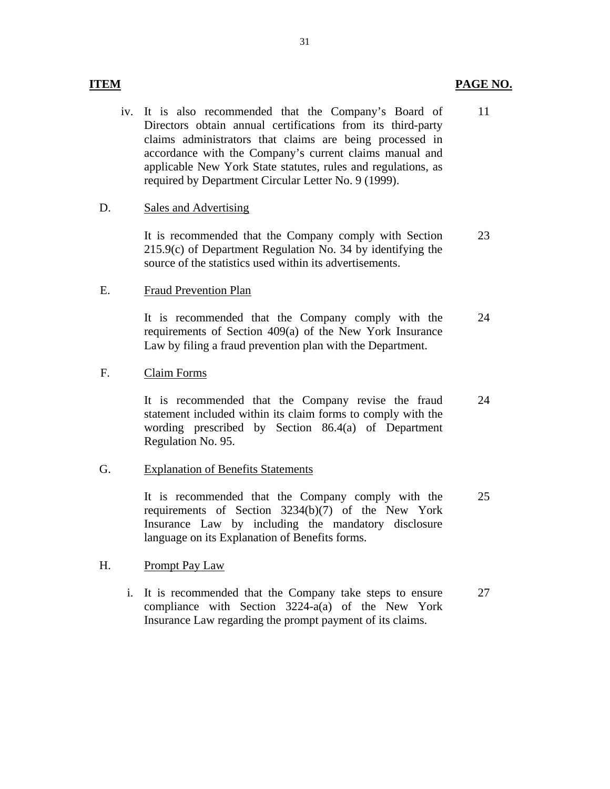iv. It is also recommended that the Company's Board of Directors obtain annual certifications from its third-party claims administrators that claims are being processed in accordance with the Company's current claims manual and applicable New York State statutes, rules and regulations, as required by Department Circular Letter No. 9 (1999). 11

# **Sales and Advertising**

D. Sales and Advertising<br>It is recommended that the Company comply with Section 215.9(c) of Department Regulation No. 34 by identifying the source of the statistics used within its advertisements. 23

# **Fraud Prevention Plan**

E. Fraud Prevention Plan<br>It is recommended that the Company comply with the requirements of Section 409(a) of the New York Insurance Law by filing a fraud prevention plan with the Department. 24

# Claim Forms

F. Claim Forms<br>It is recommended that the Company revise the fraud statement included within its claim forms to comply with the wording prescribed by Section 86.4(a) of Department Regulation No. 95. 24

# **Explanation of Benefits Statements**

G. Explanation of Benefits Statements<br>It is recommended that the Company comply with the requirements of Section 3234(b)(7) of the New York Insurance Law by including the mandatory disclosure language on its Explanation of Benefits forms. 25

# Prompt Pay Law

H. Prompt Pay Law<br>i. It is recommended that the Company take steps to ensure compliance with Section 3224-a(a) of the New York Insurance Law regarding the prompt payment of its claims. 27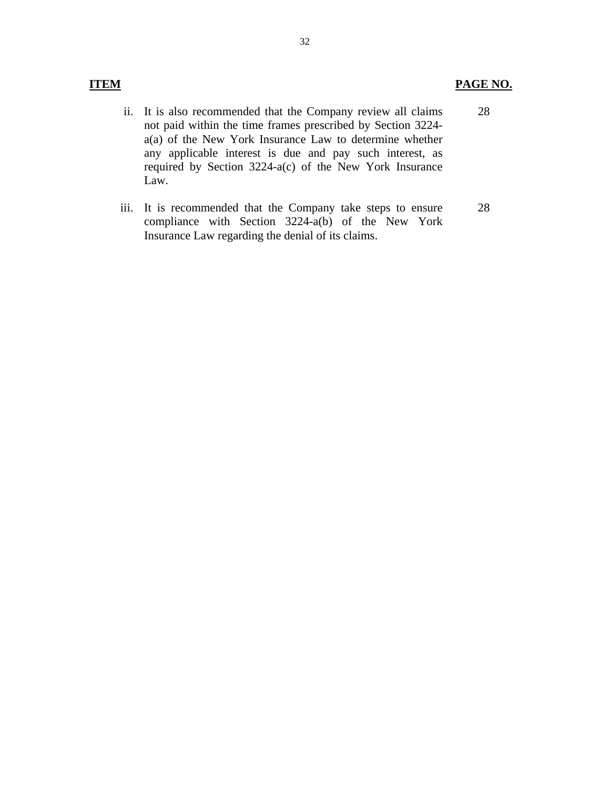# **ITEM PAGE NO.**

- ii. It is also recommended that the Company review all claims not paid within the time frames prescribed by Section 3224 a(a) of the New York Insurance Law to determine whether any applicable interest is due and pay such interest, as required by Section 3224-a(c) of the New York Insurance Law. 28
- iii. It is recommended that the Company take steps to ensure compliance with Section 3224-a(b) of the New York Insurance Law regarding the denial of its claims. 28